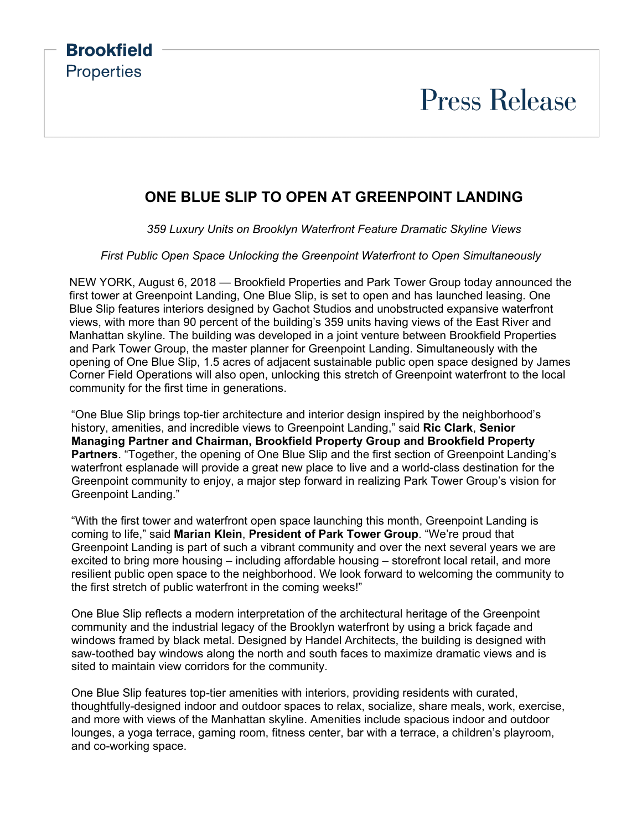### **Brookfield Properties**

## **Press Release**

#### **ONE BLUE SLIP TO OPEN AT GREENPOINT LANDING**

*359 Luxury Units on Brooklyn Waterfront Feature Dramatic Skyline Views*

*First Public Open Space Unlocking the Greenpoint Waterfront to Open Simultaneously*

NEW YORK, August 6, 2018 — Brookfield Properties and Park Tower Group today announced the first tower at Greenpoint Landing, One Blue Slip, is set to open and has launched leasing. One Blue Slip features interiors designed by Gachot Studios and unobstructed expansive waterfront views, with more than 90 percent of the building's 359 units having views of the East River and Manhattan skyline. The building was developed in a joint venture between Brookfield Properties and Park Tower Group, the master planner for Greenpoint Landing. Simultaneously with the opening of One Blue Slip, 1.5 acres of adjacent sustainable public open space designed by James Corner Field Operations will also open, unlocking this stretch of Greenpoint waterfront to the local community for the first time in generations.

"One Blue Slip brings top-tier architecture and interior design inspired by the neighborhood's history, amenities, and incredible views to Greenpoint Landing," said **Ric Clark**, **Senior Managing Partner and Chairman, Brookfield Property Group and Brookfield Property Partners**. "Together, the opening of One Blue Slip and the first section of Greenpoint Landing's waterfront esplanade will provide a great new place to live and a world-class destination for the Greenpoint community to enjoy, a major step forward in realizing Park Tower Group's vision for Greenpoint Landing."

"With the first tower and waterfront open space launching this month, Greenpoint Landing is coming to life," said **Marian Klein**, **President of Park Tower Group**. "We're proud that Greenpoint Landing is part of such a vibrant community and over the next several years we are excited to bring more housing – including affordable housing – storefront local retail, and more resilient public open space to the neighborhood. We look forward to welcoming the community to the first stretch of public waterfront in the coming weeks!"

One Blue Slip reflects a modern interpretation of the architectural heritage of the Greenpoint community and the industrial legacy of the Brooklyn waterfront by using a brick façade and windows framed by black metal. Designed by Handel Architects, the building is designed with saw-toothed bay windows along the north and south faces to maximize dramatic views and is sited to maintain view corridors for the community.

One Blue Slip features top-tier amenities with interiors, providing residents with curated, thoughtfully-designed indoor and outdoor spaces to relax, socialize, share meals, work, exercise, and more with views of the Manhattan skyline. Amenities include spacious indoor and outdoor lounges, a yoga terrace, gaming room, fitness center, bar with a terrace, a children's playroom, and co-working space.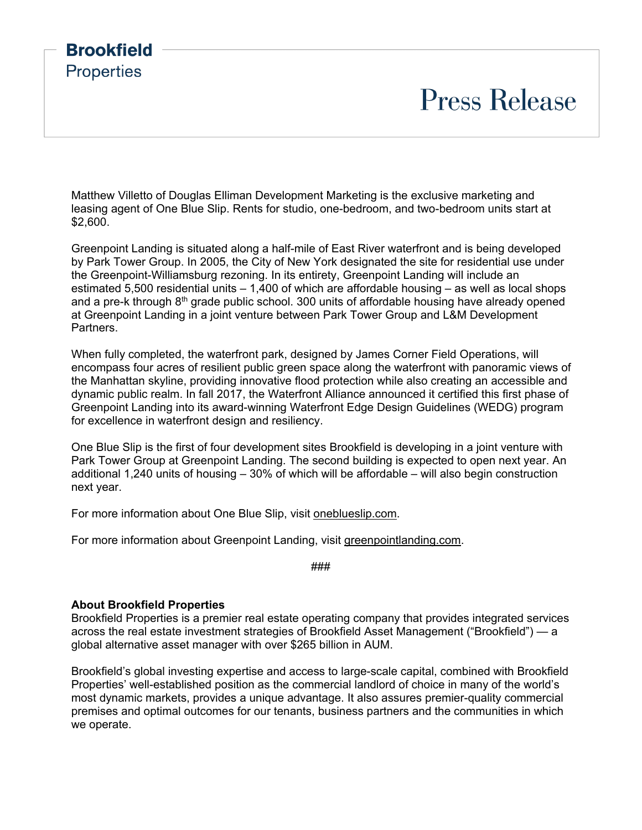### **Brookfield Properties**

# **Press Release**

Matthew Villetto of Douglas Elliman Development Marketing is the exclusive marketing and leasing agent of One Blue Slip. Rents for studio, one-bedroom, and two-bedroom units start at \$2,600.

Greenpoint Landing is situated along a half-mile of East River waterfront and is being developed by Park Tower Group. In 2005, the City of New York designated the site for residential use under the Greenpoint-Williamsburg rezoning. In its entirety, Greenpoint Landing will include an estimated 5,500 residential units – 1,400 of which are affordable housing – as well as local shops and a pre-k through 8<sup>th</sup> grade public school. 300 units of affordable housing have already opened at Greenpoint Landing in a joint venture between Park Tower Group and L&M Development Partners.

When fully completed, the waterfront park, designed by James Corner Field Operations, will encompass four acres of resilient public green space along the waterfront with panoramic views of the Manhattan skyline, providing innovative flood protection while also creating an accessible and dynamic public realm. In fall 2017, the Waterfront Alliance announced it certified this first phase of Greenpoint Landing into its award-winning Waterfront Edge Design Guidelines (WEDG) program for excellence in waterfront design and resiliency.

One Blue Slip is the first of four development sites Brookfield is developing in a joint venture with Park Tower Group at Greenpoint Landing. The second building is expected to open next year. An additional 1,240 units of housing – 30% of which will be affordable – will also begin construction next year.

For more information about One Blue Slip, visit [oneblueslip.com.](http://www.oneblueslip.com/)

For more information about Greenpoint Landing, visit [greenpointlanding.com.](http://www.greenpointlanding.com/)

###

#### **About Brookfield Properties**

Brookfield Properties is a premier real estate operating company that provides integrated services across the real estate investment strategies of Brookfield Asset Management ("Brookfield") — a global alternative asset manager with over \$265 billion in AUM.

Brookfield's global investing expertise and access to large-scale capital, combined with Brookfield Properties' well-established position as the commercial landlord of choice in many of the world's most dynamic markets, provides a unique advantage. It also assures premier-quality commercial premises and optimal outcomes for our tenants, business partners and the communities in which we operate.